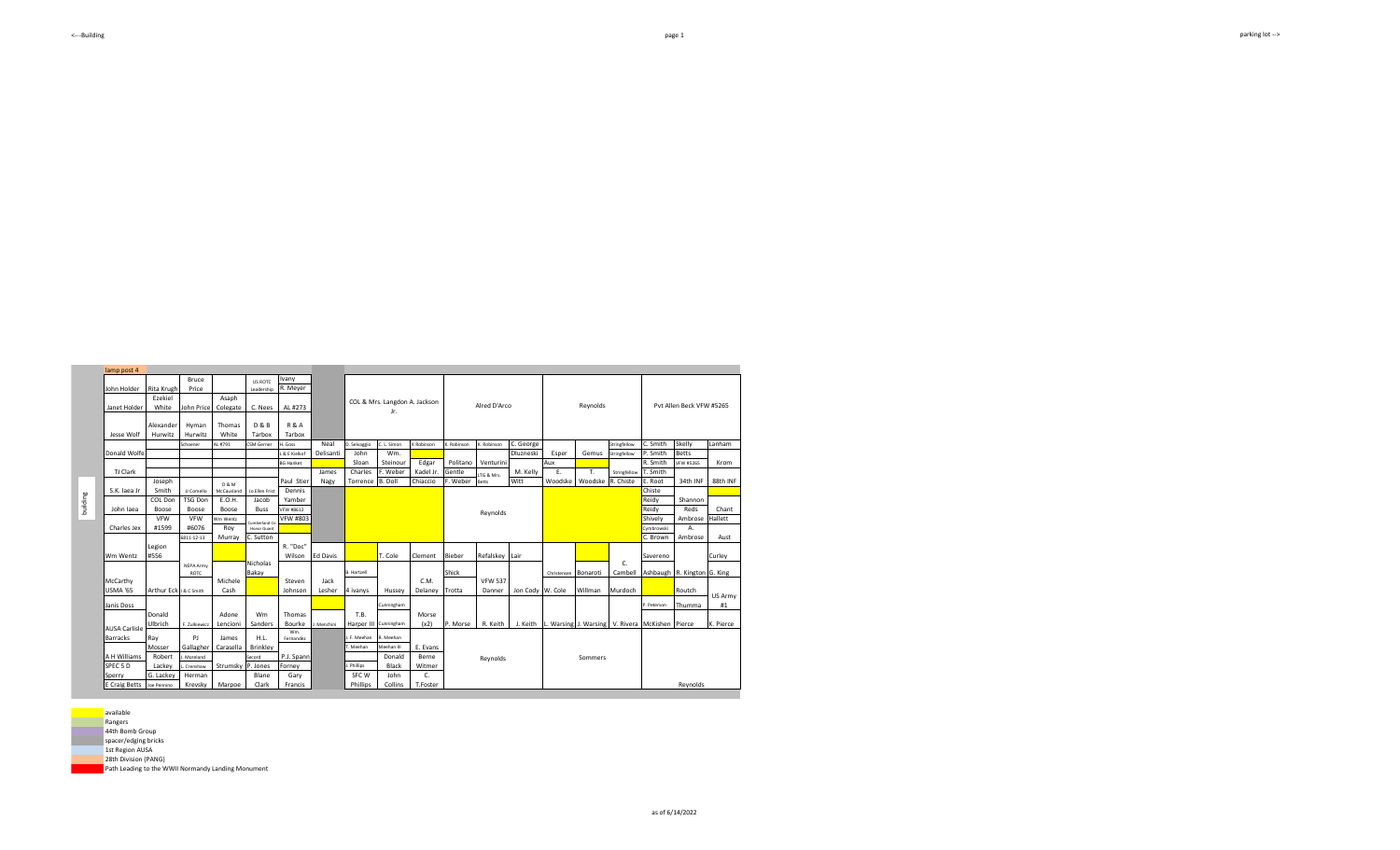Schoener AL #791 CSM Gerner H. Goss Neal D. Selvaggio C. L. Simon K. Robinson K. Robinson C. George Stringfellow C. Smith Skelly Lanham<br>Schoener Stringfellow P. Smith Betts L& E Kielkof Delisanti John Wm. Duzneski Esper Gemus Stringfellow P. Smith Betts<br>BG Hanket Sloan Steinour Edgar Politano Venturini Aux Aux R. Smith VFW #5265 BG Hanket **Charles Charles E. Weber Caref Coltano Venturini** M. Kelly **Aux Aux** R. Smith VFW #5265<br>James Charles F. Weber Kadel Jr. Gentle Tre B. Mr. Kelly E. T. Stringfellow T. Smith Torrence B. Doll | Chiaccio F. Weber Betts | Witt | Woodske | Woodske R. Chiste E. Root Chiste Reidy<br>Reidy VFW #8612 Reidy **Reidy Andreas Andrew Mexico and American Computer Andrew Mexico and American Computer Andrew Mexico and Reidy** wm wentz <sub>a short</sub> vFW #803 **Shively Hallett** Microsoft Markette Microsoft Microsoft Microsoft Microsoft Microsoft Microsoft Microsoft Microsoft Microsoft Microsoft Microsoft Microsoft Microsoft Microsoft Microsoft Microso Cymbrowski 6811-12-13 Murray C. Sutton **Product C. Brown C. Brown C. Brown C. Brown** Ed Davis **T. Cole Clement Bieber Refalskey Lair** Savereno Curley B. Hartzell **Bonaroti Ashbaugh R. Kington G. King** Shick **Bonaroti Cambell Ashbaugh R. Kington G. King** I& Csmith Cash | Johnson Lesher 4 ivanys | Hussey | Delaney | Trotta | Danner | Jon Cody | W. Cole | Willman Murdoch | Routch Janis Doss Cunningham P. Peterson Thumma P. Peterson Thumma P. Peterson Thumma P. Peterson Thumma P. Peterson Thumma J. Menchini | Harper III Cunningham | (x2) | P. Morse | R. Keith | J. Keith | L. Warsing J. Warsing | V. Rivera | McKishen | Pierce | K. Pierce Wm.<br>Fernande J. F. Meehan R. Meehan T. Meehan Meehan III J. Moreland Secord L. Crenshaw Strumsky P. Jones Forney | J. Phillips G. Lackey E Craig Betts Joe Pennino Asaph Colegate Thomas White C. Nees D & B Tarbox JJ Comello COL Don TSG Don Boose Herman Krevsky James Carasella Marpoe SPEC 5 D Sperry A H Williams AUSA Carlisle Barracks VFW #6076 Paul Stier Dennis Yamber<br>VFW #8612 NEPA Army ROTC F. Zulkiewicz Adone Lencioni Michele Cash Nicholas Bakay Wm Sanders D & M McCausland E.O.H. Boose Roy Murray Jo Ellen Frist Jacob Buss Cumberland Co Honor Guard Ray Morroy Janet Holder Jesse Wolf Donald Wol TJ Clark John Iaea Charles Jex Ezekiel White lexande Hurwitz S.K. Jaea Joseph Smith Boose VFW #1599 John Price PJ **Gallaghe** Hyman Hurwitz McCarthy USMA '65 Neal Delisanti Gary Francis SFC W **Phillips** COL & Mrs. Langdon A. Jackson Jr. John Sloan Wm. Steinour Edgar James Nagy R. "Doc" Wilson Steven Johnson Thomas Bourke P.J. Spann<br>Forney Jack Lesher AL #273 R & A Tarbox T.B. Harper II Donald Black Morse (x2) E. Evan Berne Witmer Hussey C.M. Delaney H.L. **Brinkley** Blane Clark Robert Lackey Wm Wentz Legion #556 Arthur Eck onald Ulbrich Reynolds John Collins C. T.Foster Pvt Allen Beck VFW #5265 M. Kelly Esper E. Woodske Gemus T. Woodske Reynolds l. Kine Krom 88th INF Reds Ambrose Hallett Chant Aust Alred D'Arco Reynolds P. Morse LTG & Mrs. A. mbros VFW 537 Danner Jon Cody R. Keith J. Keith Stringfellow Christensen C. Cambel 34th INF Shannon Sommers Reynolds US Army #1 building

**available** Rangers

lamp post 4

John Holder

Rita Krugh

Bruce Price

US ROTC Vany<br>Leadership R. Meyer

44th Bomb Group

spacer/edging bricks

1st Region AUSA

28th Division (PANG)

Path Leading to the WWII Normandy Landing Monument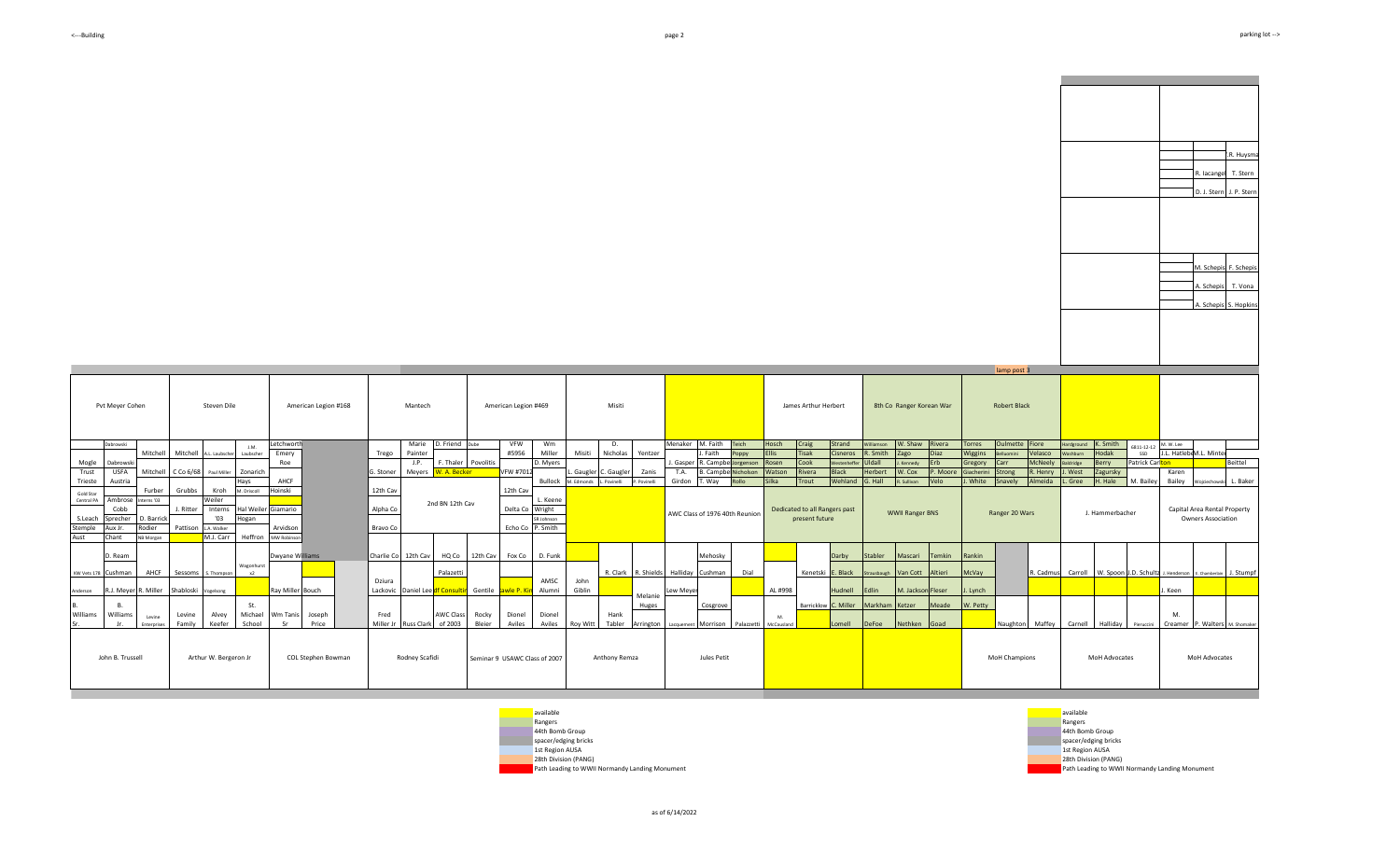

D. J. Stern J. P. Stern

R. Huysma

R. Iacangel T. Stern

A. Schepis S. Hopkins A. Schepis M. Schepis F. Schepis

T. Vona

| Pvt Meyer Cohen                                                                                                                                                     | Steven Dile                                                                                                                   | American Legion #168                                      | Mantech                                                                                    | American Legion #469                                                                    | Misiti                                                                                                            |                                                                                                                                                          | James Arthur Herbert                                                                                                                                                                             | 8th Co Ranger Korean War                                                                                                                                   | lamp post 3<br><b>Robert Black</b>                                                                                                                                       |                                                                                                                                                                    |                                                                                                    |
|---------------------------------------------------------------------------------------------------------------------------------------------------------------------|-------------------------------------------------------------------------------------------------------------------------------|-----------------------------------------------------------|--------------------------------------------------------------------------------------------|-----------------------------------------------------------------------------------------|-------------------------------------------------------------------------------------------------------------------|----------------------------------------------------------------------------------------------------------------------------------------------------------|--------------------------------------------------------------------------------------------------------------------------------------------------------------------------------------------------|------------------------------------------------------------------------------------------------------------------------------------------------------------|--------------------------------------------------------------------------------------------------------------------------------------------------------------------------|--------------------------------------------------------------------------------------------------------------------------------------------------------------------|----------------------------------------------------------------------------------------------------|
| Dabrowski<br>Mitchell<br>Mogle<br>Dabrowski<br><b>USFA</b><br>Trust<br>Trieste<br>Austria                                                                           | J.M.<br>Mitchell A.L. Laubscher<br>Laubscher<br>Mitchell C Co 6/68<br>Paul Miller Zonarich<br>Hays                            | Letchworth<br>Emery<br>Roe<br>AHCF                        | D. Friend Dube<br>Marie<br>Painter<br>Trego<br>J.P.<br>V. A. Becker<br>Meyers<br>G. Stoner | VFW<br>Wm<br>#5956<br>Miller<br>D. Myers<br>F. Thaler Povolitis<br>VFW #7012<br>Bullock | D.<br>Nicholas<br>Misiti<br>Yentzer<br>. Gaugler C. Gaugler<br>Zanis<br>M. Edmonds<br>. Povinelli<br>P. Povinelli | Menaker M. Faith<br>Teich<br>J. Faith<br><b>Oppy</b><br>J. Gasper R. Campbe Jorgenson<br>T.A.<br><b>B.</b> Campbe Nicholson<br>Girdon<br>T. Wav<br>Rollo | Hosch<br>Strand<br>Craig<br><b>Tisak</b><br><b>Fllis</b><br>Cisneros<br>Cook<br>Rosen<br><b><i><u>estenheffe</u></i></b><br>Watson<br><b>Black</b><br>Rivera<br>Wehland<br><b>Silka</b><br>Trout | W. Shaw Rivera<br>Villiamson<br>R. Smith<br>Diaz<br>Zago<br>Uldall<br>Erb<br>Kennedy<br>P. Moore<br><b>Herber</b><br>N. Cox<br>G. Hall<br>Velo<br>Sullivan | Oulmette Fiore<br>Torres<br>Velasco<br>Wiggins<br><b>Inimoulle</b><br><b>McNeely</b><br>Gregory<br>Carr<br>. Henry<br>Strong<br>iacherini<br>White<br>Almeida<br>Snavely | K. Smith<br>Hardground<br>Hodak<br>SSD<br>Washhurn<br>Patrick Car <mark>lton</mark><br>Berry<br>Baldridge<br>l. West<br>Zagursky<br>H. Hale<br>. Gree<br>M. Bailey | 6811-12-12 M.W. Lee<br>J.L. HatlebeM.L. Minte<br>Beittel<br>Karen<br>Bailey Wojciechowski L. Baker |
| Furber<br>Gold Star<br>Ambrose Interns '03<br>Central PA<br>Cobb<br>Sprecher<br>D. Barrick<br>S.Leach<br>Rodier<br>Stemple<br>Aux Ir.<br>Chant<br>Aust<br>NB Morgan | Grubbs<br>Kroh<br>M. Driscoll<br>Weiler<br>J. Ritter<br>Interns<br>'03<br>Hogan<br>Pattison LA Walker<br>M.J. Carr<br>Heffron | Hoinski<br>Hal Weiler Giamario<br>Arvidson<br>MW Robinsor | 12th Cav<br>2nd BN 12th Cav<br>Alpha Co<br>Bravo Co                                        | 12th Cav<br>L. Keene<br>Wright<br>Delta Co<br>SR Johnson<br>Echo Co P. Smith            |                                                                                                                   | AWC Class of 1976 40th Reunion                                                                                                                           | Dedicated to all Rangers past<br>present future                                                                                                                                                  | <b>WWII Ranger BNS</b>                                                                                                                                     | Ranger 20 Wars                                                                                                                                                           | J. Hammerbacher                                                                                                                                                    | Capital Area Rental Property<br><b>Owners Association</b>                                          |
| D. Ream<br>AHCF<br>KW Vets 178 Cushman<br>R.J. Mever R. Miller<br>Anderson                                                                                          | Wagonhurst<br>Sessoms<br>S. Thompso<br>$\times$<br>Shabloski<br>Vogelsong                                                     | Dwyane Williams<br>Rav Miller Bouch                       | Charlie Co 12th Cav<br>HQ Co<br>Palazetti<br>Dziura<br>Lackovic<br>Daniel Lee df Consult   | 12th Cav<br>Fox Co D. Funk<br>AMSC<br>Gentile<br>wle P. K<br>Alumni                     | John<br>Giblin                                                                                                    | Mehosky<br>R. Clark R. Shields Halliday Cushman<br>Dial<br>Lew Meyer                                                                                     | Darby<br>Kenetski E. Black<br>AL #998<br>Hudnell                                                                                                                                                 | Stabler<br>Temkin<br>Mascari<br>Strausbaugh Van Cott Altieri<br><b>Edlin</b><br>M. Jackson Fleser                                                          | Rankin<br>McVay<br>R. Cadmus<br>J. Lynch                                                                                                                                 |                                                                                                                                                                    | Carroll W. Spoon J.D. Schultz J. Henderson E. Chamberlain J. Stumpf<br>J. Keen                     |
| Williams<br>Williams<br>Levine<br><b>Enterprises</b>                                                                                                                | St.<br>Alvey<br>Levine<br>School<br>Family<br>Keefer                                                                          | Michael Wm Tanis<br>Joseph<br>Price<br><b>Sr</b>          | <b>AWC Class</b><br>Fred<br>of 2003<br>Miller Jr<br><b>Russ Clark</b>                      | Rocky<br>Dionel<br>Dionel<br>Bleier<br>Aviles<br>Aviles                                 | Melanie<br>Huges<br>Hank<br>Tabler<br>Roy Witt<br>Arrington                                                       | Cosgrove<br>Morrison<br>Palazzetti<br>Lacquemer                                                                                                          | M <sub>1</sub><br>Lomell<br>McCausland                                                                                                                                                           | Barricklow C. Miller Markham Ketzer<br>Meade<br>DeFoe<br>Nethken Goad                                                                                      | W. Petty<br>Naughton                                                                                                                                                     | Maffey Carnell Halliday<br>Pieruccini                                                                                                                              | M.<br>Creamer P. Walters M. Shomaker                                                               |
| John B. Trussell                                                                                                                                                    | Arthur W. Bergeron Jr                                                                                                         | COL Stephen Bowman                                        | Rodney Scafidi                                                                             | Seminar 9 USAWC Class of 2007                                                           | Anthony Remza                                                                                                     | Jules Petit                                                                                                                                              |                                                                                                                                                                                                  |                                                                                                                                                            | <b>MoH Champions</b>                                                                                                                                                     | MoH Advocates                                                                                                                                                      | MoH Advocates                                                                                      |





as of 6/14/2022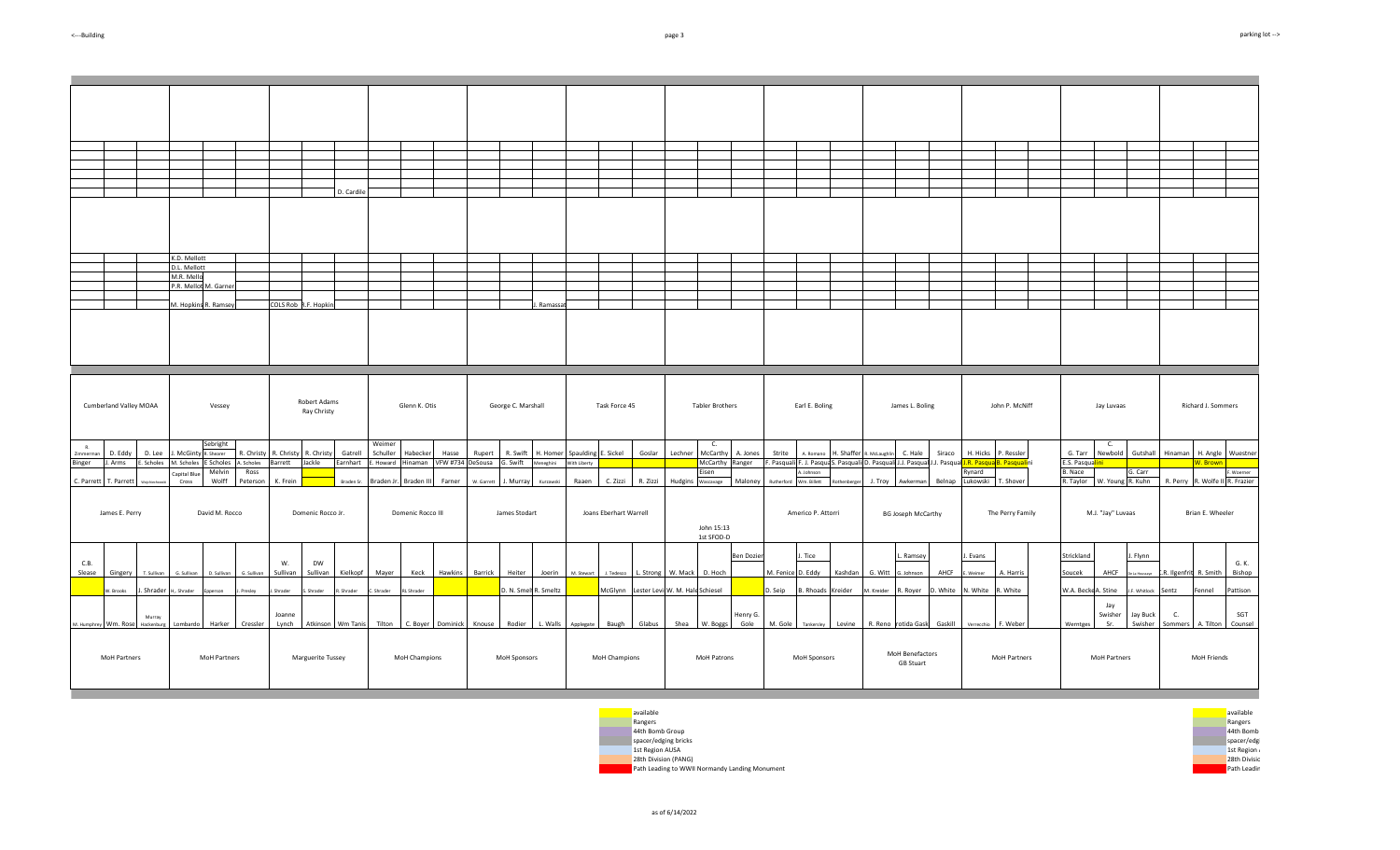|                       |           |                        |                      |                            |                     |                    |            |                             | D. Cardile              |                    |                   |                   |            |                    |                       |              |                        |                                         |         |                          |                   |                                                                                                    |                    |            |                     |                                     |         |                    |                     |                            |                             |                     |                        |                        |                |
|-----------------------|-----------|------------------------|----------------------|----------------------------|---------------------|--------------------|------------|-----------------------------|-------------------------|--------------------|-------------------|-------------------|------------|--------------------|-----------------------|--------------|------------------------|-----------------------------------------|---------|--------------------------|-------------------|----------------------------------------------------------------------------------------------------|--------------------|------------|---------------------|-------------------------------------|---------|--------------------|---------------------|----------------------------|-----------------------------|---------------------|------------------------|------------------------|----------------|
|                       |           |                        |                      |                            |                     |                    |            |                             |                         |                    |                   |                   |            |                    |                       |              |                        |                                         |         |                          |                   |                                                                                                    |                    |            |                     |                                     |         |                    |                     |                            |                             |                     |                        |                        |                |
|                       |           |                        |                      |                            |                     |                    |            |                             |                         |                    |                   |                   |            |                    |                       |              |                        |                                         |         |                          |                   |                                                                                                    |                    |            |                     |                                     |         |                    |                     |                            |                             |                     |                        |                        |                |
|                       |           |                        |                      | K.D. Mellott               |                     |                    |            |                             |                         |                    |                   |                   |            |                    |                       |              |                        |                                         |         |                          |                   |                                                                                                    |                    |            |                     |                                     |         |                    |                     |                            |                             |                     |                        |                        |                |
|                       |           |                        |                      | D.L. Mellott<br>M.R. Mello |                     |                    |            |                             |                         |                    |                   |                   |            |                    |                       |              |                        |                                         |         |                          |                   |                                                                                                    |                    |            |                     |                                     |         |                    |                     |                            |                             |                     |                        |                        |                |
|                       |           |                        |                      | P.R. Mellot M. Garner      |                     |                    |            |                             |                         |                    |                   |                   |            |                    |                       |              |                        |                                         |         |                          |                   |                                                                                                    |                    |            |                     |                                     |         |                    |                     |                            |                             |                     |                        |                        |                |
|                       |           |                        |                      | M. Hopkins R. Ramsey       |                     |                    |            | COLS Rob R.F. Hopkin:       |                         |                    |                   |                   |            |                    | Ramassa               |              |                        |                                         |         |                          |                   |                                                                                                    |                    |            |                     |                                     |         |                    |                     |                            |                             |                     |                        |                        |                |
|                       |           | Cumberland Valley MOAA |                      |                            | Vessey              |                    |            | Robert Adams<br>Ray Christy |                         |                    | Glenn K. Otis     |                   |            | George C. Marshall |                       |              | Task Force 45          |                                         |         | <b>Tabler Brothers</b>   |                   |                                                                                                    | Earl E. Boling     |            |                     | James L. Boling                     |         |                    | John P. McNiff      |                            | Jay Luvaas                  |                     |                        | Richard J. Sommers     |                |
| R.<br>immerma         |           | D. Eddy                | D. Lee               | McGin                      | Sebright<br>Shearer | R. Christy         | R. Christy | <b>R.</b> Christy           | Gatrell                 | Weimer<br>Schuller | Habecker          | Hasse             | Rupert     | R. Swift           | H. Homer              | Spaulding    | . Sickel               | Goslar                                  | Lechner | C.<br>McCarthy           | A. Jones          | Strite                                                                                             | A Romano           | I. Shaffer | . McLaughli         | C. Hale                             | Siraco  |                    | H. Hicks P. Ressler | G. Tarr                    | С.<br>Newbold               | Gutshall            | Hinaman                | H. Angle Wuestner      |                |
| linger                | . Arms    |                        | E. Scholes           | M. Scholes<br>Capital Blu  | E Scholes<br>Melvin | A. Scholes<br>Ross | Barrett    | Jackle                      | Earnhart E. Howard      |                    | Hinaman           | <b>VFW #734</b>   | DeSousa    | G. Swift           | Meneghini             | With Liberty |                        |                                         |         | McCarthy Ranger<br>isen  |                   | F. Pasquali F. J. Pasqua S. Pasquali D. Pasquali J.J. Pasqua J.J. Pasqua J.R. Pasqua B. Pasqualini | .Johnson           |            |                     |                                     |         | Rynard             |                     | E.S. Pasqualini<br>B. Nace |                             | G. Carr             |                        | W. Brown               | Woerner        |
| C. Parrett T. Parrett |           |                        |                      | Cross                      | Wolff               | Peterson           | K. Frein   |                             | Braden Sr.              | Braden Jr.         | Braden III        | Farner            | W. Garrett |                    | J. Murray Kurzawski   | Raaen        | C. Zizzi               | R. Zizzi                                |         | Hudgins Wascavage        | Maloney           | Rutherford                                                                                         | Wm. Billett        | Rothenberg | J. Troy             | Awkerman                            | Belnap  | Lukowski T. Shover |                     | R. Taylor W. Young R. Kuhn |                             |                     | R. Perry               | R. Wolfe II R. Frazier |                |
|                       |           | James E. Perry         |                      |                            | David M. Rocco      |                    |            | Domenic Rocco Jr.           |                         |                    | Domenic Rocco III |                   |            | James Stodart      |                       |              | Joans Eberhart Warrell |                                         |         | John 15:13<br>1st SFOD-D |                   |                                                                                                    | Americo P. Attorri |            |                     | <b>BG Joseph McCarthy</b>           |         |                    | The Perry Family    |                            | M.J. "Jay" Luvaas           |                     |                        | Brian E. Wheeler       |                |
| C.B.                  |           |                        |                      |                            |                     |                    | W.         | DW                          |                         |                    |                   |                   |            |                    |                       |              |                        |                                         |         |                          | <b>Ben Dozier</b> |                                                                                                    | . Tice             |            |                     | . Ramsey                            |         | I. Evans           |                     | Strickland                 |                             | . Flynn             |                        |                        | G. K.          |
| Slease                |           | Gingery                | T. Sullivan          | G. Sullivan                | D. Sullivan         | G. Sullivan        | Sullivan   | Sullivan                    | Kielkopf                | Mayer              | Keck              | Hawkins           | Barrick    | Heiter             | Joerin                | M. Stewart   |                        | J. Tedesco L. Strong W. Mack D. Hoch    |         |                          |                   | M. Fenice D. Eddy                                                                                  |                    | Kashdan    | G. Witt             | G. Johnson                          | AHCF    | Weimer             | A. Harris           | Soucek                     | AHCF                        |                     | .R. Ilgenfrit R. Smith |                        | Bishop         |
|                       | W. Brooks |                        | J. Shrader           | Shrader                    | person              | Presley            | Shrader    | Shrader                     | Shrader                 | Shrader            | RL Shrader        |                   |            |                    | D. N. Smelt R. Smeltz |              |                        | McGlynn Lester Levi W. M. Hale Schiesel |         |                          |                   | . Seip                                                                                             | 3. Rhoads          | Kreider    | M. Kreider          | l. Royer                            | . White | N. White           | R. White            | W.A. Becke A. Stine        |                             | F. Whitlock         | Sentz                  | Fennel                 | Pattison       |
| I. Humphrey           | Wm. Rose  |                        | Murray<br>Hackenburg | ombardo.                   | Harker              | Cressler           | Joanne     |                             | Lynch Atkinson Wm Tanis | Tilton             |                   | C. Boyer Dominick | Knouse     |                    | Rodier L. Walls       | Applegate    |                        | Baugh Glabus                            |         | Shea W. Boggs            | Henry G.<br>Gole  | M. Gole                                                                                            | Tankersley         | Levine     | R. Reno rotida Gask |                                     | Gaskill | Verrecchio         | F. Webe             | Werntges                   | Jay<br>Swisher<br><b>Sr</b> | Jay Buck<br>Swisher | C.<br>Sommers          | A. Tilton              | SGT<br>Counsel |
|                       |           | MoH Partners           |                      |                            | MoH Partners        |                    |            | Marguerite Tussey           |                         |                    | MoH Champions     |                   |            | MoH Sponsors       |                       |              | MoH Champions          |                                         |         | MoH Patrons              |                   |                                                                                                    | MoH Sponsors       |            |                     | MoH Benefactors<br><b>GB Stuart</b> |         |                    | MoH Partners        |                            | MoH Partners                |                     |                        | MoH Friends            |                |



as of 6/14/2022

**Contract** 

m.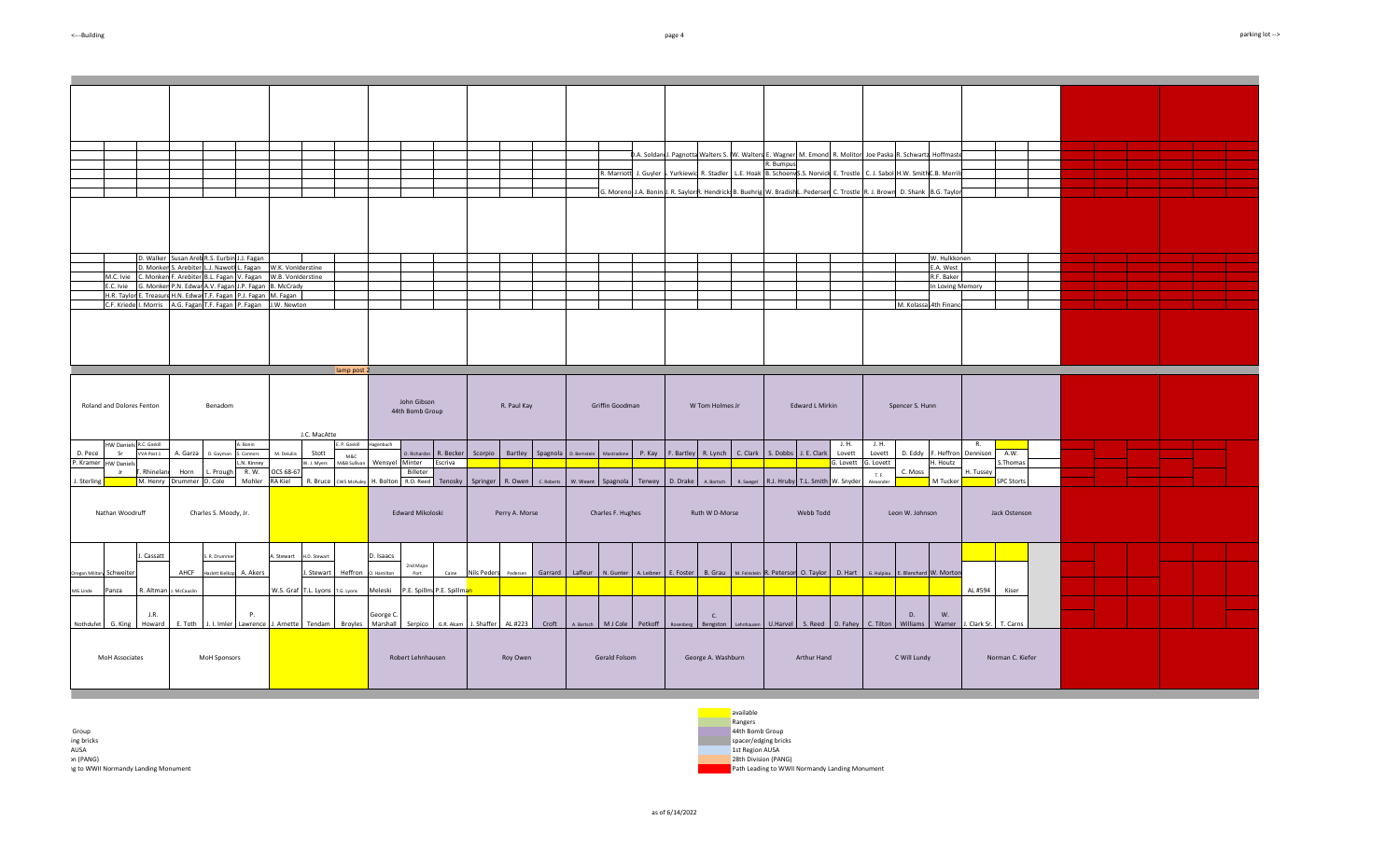|                                              |                                                                                                        |                                                   |                                                                    |                                                                                |                          |                                                                      | D.A. Soldan J. Pagnotta Walters S. W. Walters E. Wagner M. Emond, R. Molitor Joe Paska R. Schwartz. Hoffmaste                                            |                                       |                       |  |
|----------------------------------------------|--------------------------------------------------------------------------------------------------------|---------------------------------------------------|--------------------------------------------------------------------|--------------------------------------------------------------------------------|--------------------------|----------------------------------------------------------------------|----------------------------------------------------------------------------------------------------------------------------------------------------------|---------------------------------------|-----------------------|--|
|                                              |                                                                                                        |                                                   |                                                                    |                                                                                | R. Marriott              | J. Guyler S. Yurkiewic R. Stadler   L.E. Hoak B. SchoenwS.S. Norvick | R. Bumpus<br>E. Trostle                                                                                                                                  | C. J. Sabol H.W. SmithC.B. Merril     |                       |  |
|                                              |                                                                                                        |                                                   |                                                                    |                                                                                |                          |                                                                      |                                                                                                                                                          |                                       |                       |  |
|                                              |                                                                                                        |                                                   |                                                                    |                                                                                |                          |                                                                      | G. Moreno J.A. Bonin J. R. Saylor R. Hendrick B. Buehrig W. BradishL. Pederser C. Trostle R. J. Brown D. Shank B.G. Taylor                               |                                       |                       |  |
|                                              |                                                                                                        |                                                   |                                                                    |                                                                                |                          |                                                                      |                                                                                                                                                          |                                       |                       |  |
|                                              |                                                                                                        |                                                   |                                                                    |                                                                                |                          |                                                                      |                                                                                                                                                          |                                       |                       |  |
|                                              |                                                                                                        |                                                   |                                                                    |                                                                                |                          |                                                                      |                                                                                                                                                          |                                       |                       |  |
|                                              |                                                                                                        |                                                   |                                                                    |                                                                                |                          |                                                                      |                                                                                                                                                          |                                       |                       |  |
|                                              |                                                                                                        |                                                   |                                                                    |                                                                                |                          |                                                                      |                                                                                                                                                          |                                       |                       |  |
|                                              | D. Walker Susan Areb R.S. Eurbin J.J. Fagan                                                            |                                                   |                                                                    |                                                                                |                          |                                                                      |                                                                                                                                                          | W. Hulkkonen                          |                       |  |
|                                              | D. Monken S. Arebiter L.J. Nawoth L. Fagan                                                             | W.K. VonIderstine                                 |                                                                    |                                                                                |                          |                                                                      |                                                                                                                                                          | E.A. West                             |                       |  |
| M.C. Ivie                                    | C. Monken F. Arebiter B.L. Fagan V. Fagan                                                              | W.B. VonIderstine                                 |                                                                    |                                                                                |                          |                                                                      |                                                                                                                                                          | R.F. Baker                            |                       |  |
| E.C. Ivie                                    | G. Monken P.N. Edwar A.V. Fagan J.P. Fagan<br>H.R. Taylor E. Treasure H.N. Edwar T.F. Fagan P.J. Fagan | <b>B. McCrady</b><br>M. Fagan                     |                                                                    |                                                                                |                          |                                                                      |                                                                                                                                                          | In Loving Memory                      |                       |  |
| C.F. Kriede I. Morris                        | A.G. Fagan T.F. Fagan P. Fagan                                                                         | W. Newton                                         |                                                                    |                                                                                |                          |                                                                      |                                                                                                                                                          | M. KolassaL4th Finance                |                       |  |
|                                              |                                                                                                        |                                                   |                                                                    |                                                                                |                          |                                                                      |                                                                                                                                                          |                                       |                       |  |
|                                              |                                                                                                        |                                                   |                                                                    |                                                                                |                          |                                                                      |                                                                                                                                                          |                                       |                       |  |
|                                              |                                                                                                        |                                                   |                                                                    |                                                                                |                          |                                                                      |                                                                                                                                                          |                                       |                       |  |
|                                              |                                                                                                        |                                                   |                                                                    |                                                                                |                          |                                                                      |                                                                                                                                                          |                                       |                       |  |
|                                              |                                                                                                        |                                                   |                                                                    |                                                                                |                          |                                                                      |                                                                                                                                                          |                                       |                       |  |
|                                              |                                                                                                        | lamp post 2                                       |                                                                    |                                                                                |                          |                                                                      |                                                                                                                                                          |                                       |                       |  |
|                                              |                                                                                                        |                                                   |                                                                    |                                                                                |                          |                                                                      |                                                                                                                                                          |                                       |                       |  |
|                                              |                                                                                                        |                                                   |                                                                    |                                                                                |                          |                                                                      |                                                                                                                                                          |                                       |                       |  |
| Roland and Dolores Fenton                    | Benadom                                                                                                |                                                   | John Gibson                                                        | R. Paul Kay                                                                    | Griffin Goodman          | W Tom Holmes Jr                                                      | Edward L Mirkin                                                                                                                                          | Spencer S. Hunn                       |                       |  |
|                                              |                                                                                                        |                                                   | 44th Bomb Group                                                    |                                                                                |                          |                                                                      |                                                                                                                                                          |                                       |                       |  |
|                                              |                                                                                                        |                                                   |                                                                    |                                                                                |                          |                                                                      |                                                                                                                                                          |                                       |                       |  |
|                                              |                                                                                                        | J.C. MacAtte                                      |                                                                    |                                                                                |                          |                                                                      |                                                                                                                                                          |                                       |                       |  |
| HW Daniels R.C. Gaskill<br>Sr.<br>VVA Post 1 | A. Bonin<br>A. Garza                                                                                   | Stott                                             | E. P. Gaskill Hagenbuch                                            |                                                                                | P. Kay                   |                                                                      | J. H.<br>Lovett                                                                                                                                          | J. H.<br>Lovett<br>D. Eddy F. Heffron | Dennison<br>A.W.      |  |
| D. Pece<br>P. Kramer HW Daniels              | D. Gavman<br>S. Connors<br>L.N. Kinney                                                                 | M. Deiuliis<br>M&C<br>W. J. Myers<br>M&B Sullivan | Wensvel Minter<br>Escriva                                          | O. Richardsn R. Becker Scorpio Bartley Spagnola D. Bernstein                   | Mastradone               | F. Bartley R. Lynch C. Clark S. Dobbs J. E. Clark                    | G. Lovett                                                                                                                                                | G. Lovett<br>H. Houtz                 | .Thomas               |  |
| Rhineland                                    | R. W.<br>Horn<br>L. Prough                                                                             | <b>OCS 68-67</b>                                  | Billeter                                                           |                                                                                |                          |                                                                      |                                                                                                                                                          | C. Moss<br>T. F.                      | H. Tussey             |  |
| M. Henry<br>I. Sterling                      | Drummer D. Cole<br>Mohler                                                                              | RA Kiel<br>R. Bruce CW5 McAuley                   | I. Bolton R.O. Reed Tenosky                                        | Springer R. Owen C. Roberts                                                    | w. weant Spagnola Terwey | D. Drake A. Bartsch<br>R. Swegel                                     | R.J. Hruby T.L. Smith W. Snyder                                                                                                                          | M Tucker<br>Alexander                 | <b>SPC Storts</b>     |  |
|                                              |                                                                                                        |                                                   |                                                                    |                                                                                |                          |                                                                      |                                                                                                                                                          |                                       |                       |  |
|                                              |                                                                                                        |                                                   |                                                                    |                                                                                |                          |                                                                      |                                                                                                                                                          |                                       |                       |  |
| Nathan Woodruff                              | Charles S. Moody, Jr.                                                                                  |                                                   | Edward Mikoloski                                                   | Perry A. Morse                                                                 | Charles F. Hughes        | Ruth W D-Morse                                                       | Webb Todd                                                                                                                                                | Leon W. Johnson                       | Jack Ostenson         |  |
|                                              |                                                                                                        |                                                   |                                                                    |                                                                                |                          |                                                                      |                                                                                                                                                          |                                       |                       |  |
|                                              |                                                                                                        |                                                   |                                                                    |                                                                                |                          |                                                                      |                                                                                                                                                          |                                       |                       |  |
|                                              |                                                                                                        |                                                   |                                                                    |                                                                                |                          |                                                                      |                                                                                                                                                          |                                       |                       |  |
| J. Cassatt                                   | . R. Drummer                                                                                           | . Stewart<br>H.D. Stewart                         | D. Isaacs                                                          |                                                                                |                          |                                                                      |                                                                                                                                                          |                                       |                       |  |
| Oregan Military Schweiter                    | AHCF<br>Hazlett Kielkop A. Akers                                                                       | Stewart                                           | 2nd Major<br>Heffron 0. Hamilton<br>Port<br>Caine                  |                                                                                |                          |                                                                      | Nils Peders Pedersen Garrard Lafleur N. Gunter A. Leibner E. Foster B. Grau M. Feinstein R. Peterson O. Taylor D. Hart G. Hulpiau E. Blanchard W. Morton |                                       |                       |  |
|                                              |                                                                                                        |                                                   |                                                                    |                                                                                |                          |                                                                      |                                                                                                                                                          |                                       |                       |  |
| R. Altman<br>Panza<br><b>MG Linde</b>        | McCauslin                                                                                              |                                                   | W.S. Graf T.L. Lyons T.G. Lyons Meleski P.E. Spillma P.E. Spillman |                                                                                |                          |                                                                      |                                                                                                                                                          |                                       | AL #594<br>Kiser      |  |
|                                              |                                                                                                        |                                                   |                                                                    |                                                                                |                          |                                                                      |                                                                                                                                                          |                                       |                       |  |
| J.R.                                         | P.                                                                                                     |                                                   | George C.                                                          |                                                                                |                          | C.                                                                   |                                                                                                                                                          | D.<br>W.                              |                       |  |
| Nothdufet G. King<br>Howard                  | E. Toth                                                                                                | J. I. Imler Lawrence J. Arnette Tendam Broyles    |                                                                    | Marshall Serpico G.R. Akam J. Shaffer AL #223 Croft A. Bartsch MJ Cole Petkoff |                          | Bengston<br>Rosenberg<br>ehnhausen                                   | U.Harvel S. Reed D. Fahey                                                                                                                                | C. Tilton Williams<br>Warner          | J. Clark Sr. T. Carns |  |
|                                              |                                                                                                        |                                                   |                                                                    |                                                                                |                          |                                                                      |                                                                                                                                                          |                                       |                       |  |
|                                              |                                                                                                        |                                                   |                                                                    |                                                                                |                          |                                                                      |                                                                                                                                                          |                                       |                       |  |
| MoH Associates                               | MoH Sponsors                                                                                           |                                                   | Robert Lehnhausen                                                  | Roy Owen                                                                       | Gerald Folsom            | George A. Washburn                                                   | Arthur Hand                                                                                                                                              | C Will Lundy                          | Norman C. Kiefer      |  |
|                                              |                                                                                                        |                                                   |                                                                    |                                                                                |                          |                                                                      |                                                                                                                                                          |                                       |                       |  |
|                                              |                                                                                                        |                                                   |                                                                    |                                                                                |                          |                                                                      |                                                                                                                                                          |                                       |                       |  |
|                                              |                                                                                                        |                                                   |                                                                    |                                                                                |                          |                                                                      |                                                                                                                                                          |                                       |                       |  |

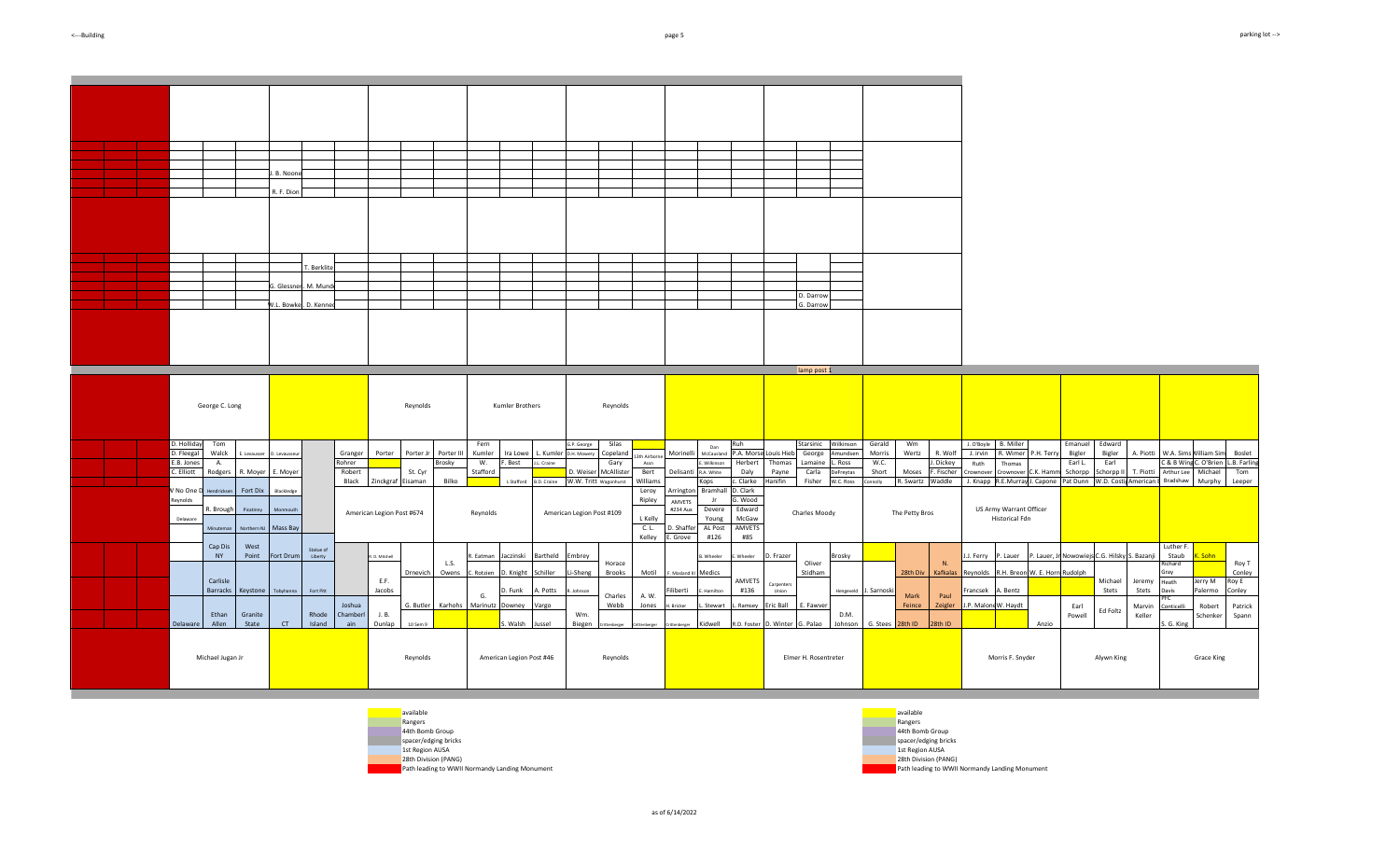| parking lot |
|-------------|
|-------------|

|                                                                                                                                                                                                                             | I. B. Noon<br>R. F. Dion<br>. Berklite<br>G. Glessnert, M. Munde<br>V.L. Bowkei, D. Kennec                                                                                                                                           |                                                                                                                                                                                                                                                                                                                                                         | D. Darrow<br>G. Darrow                                                                                                                                                                                                                                                                                                                                                                                                                                                                                                                                                    |                                                                                                                                                                                                                                                                                                                                                                                                                                                                                                                                                       |
|-----------------------------------------------------------------------------------------------------------------------------------------------------------------------------------------------------------------------------|--------------------------------------------------------------------------------------------------------------------------------------------------------------------------------------------------------------------------------------|---------------------------------------------------------------------------------------------------------------------------------------------------------------------------------------------------------------------------------------------------------------------------------------------------------------------------------------------------------|---------------------------------------------------------------------------------------------------------------------------------------------------------------------------------------------------------------------------------------------------------------------------------------------------------------------------------------------------------------------------------------------------------------------------------------------------------------------------------------------------------------------------------------------------------------------------|-------------------------------------------------------------------------------------------------------------------------------------------------------------------------------------------------------------------------------------------------------------------------------------------------------------------------------------------------------------------------------------------------------------------------------------------------------------------------------------------------------------------------------------------------------|
| George C. Long                                                                                                                                                                                                              | Reynolds                                                                                                                                                                                                                             | Kumler Brothers<br>Reynolds                                                                                                                                                                                                                                                                                                                             | lamp post 1                                                                                                                                                                                                                                                                                                                                                                                                                                                                                                                                                               |                                                                                                                                                                                                                                                                                                                                                                                                                                                                                                                                                       |
| D. Holliday<br>Tom<br>D. Fleegal<br>Walck<br>E. Levausser<br>E.B. Jones<br>A.<br>C. Elliott<br>Rodgers R. Moyer E. Moyer<br>/ No One<br>Fort Dix<br>lendrickse<br>Reynolds<br>R. Brough<br>Picatinm<br>Delaware<br>Minutema | Granger<br>Porter<br>Porter Jr<br>Porter III<br>D. Levausse<br>Rohrer<br>Brosky<br>Robert<br>St. Cyr<br>Black<br>Zinckgraf Eisaman<br>Bilko<br>Blacklede<br>Monmout<br>American Legion Post #674<br>Northern NJ Mass Bay             | Fern<br>G.P. George<br>Silas<br>Kumler<br>Ira Lowe<br>. Kumler D.H. Mowery<br>Copeland<br>3th Airborn<br>W.<br>. Best<br>L. Craine<br>Gary<br>Assn<br>Stafford<br>D. Weiser McAllister<br>Bert<br>B.D. Craine W.W. Tritt wagonhurst<br>Williams<br>L Stafford<br>Leroy<br>Ripley<br>Reynolds<br>American Legion Post #109<br>L Kelly<br>C. L.<br>Kelley | Ruh<br>Starsinic Wilkinson<br>Gerald<br>Wm<br>Dan<br>P.A. Morse Louis Hieb<br>Morinelli<br>George<br>Amundsen<br>Morris<br>Wertz<br>McCausland<br>W.C.<br>Wilkinson<br>Herbert<br>Thomas<br>Lamaine<br>. Ross<br>Short<br>Delisanti R.A. White<br>Daly<br>Payne<br>Carla<br>Moses<br>DeFreytas<br>Hanifin<br>. Clarke<br>Fisher<br>W.C. Ross<br>Kops<br>onnolly<br>Arrington Bramhall<br>D. Clark<br>i. Wood<br>AMVETS<br>Edward<br>Devere<br>#234 Aux<br>Charles Moody<br>The Petty Bros<br>McGaw<br>Young<br>AL Post<br>AMVETS<br>D. Shaffer<br>E. Grove<br>#85<br>#126 | J. O'Boyle B. Miller<br>Emanuel<br>Edward<br>R. Wimer P.H. Terry<br>R. Wolf<br>J. irvin<br>Bigler<br>Bigler<br>A. Piotti<br>W.A. Sims Nilliam Sim<br>Boslet<br>C & B Wing C. O'Brien L.B. Farling<br>. Dickey<br>Earl L.<br>Earl<br>Ruth<br>Thomas<br>F. Fischer<br>Michael<br>Schorpp<br>T. Piotti<br>Arthur Lee<br>Tom<br>C.K. Hamr<br>Schorpp II<br>Crownover<br>Crownover<br>Pat Dunn W.D. Costi American E Bradshaw<br>R. Swartz Waddle<br>J. Knapp R.E.Murray J. Capone<br>Murphy<br>Leeper<br>US Army Warrant Officer<br><b>Historical Fdn</b> |
| Cap Dis<br>West<br><b>NY</b><br>Point<br>Carlisle<br><b>Barracks</b><br>Ethan<br>Granite<br>Delaware<br>Allen<br>State                                                                                                      | Statue of<br>Fort Drum<br>Liberty<br>R. D. Mitchell<br>L.S.<br>Drnevich Owens<br>E.F.<br>Jacobs<br>Keystone Tobyhanna<br>Fort Pitt<br>Joshua<br>G. Butler<br>J. B.<br>Rhode<br>Chamberl<br>CT<br>Island<br>ain<br>Dunlap<br>10 Sem 9 | R. Eatman Jaczinski<br>Bartheld Embrey<br>Horace<br>Motil<br>C. Rotzien<br>D. Knight<br>Schiller<br>Li-Sheng<br>Brooks<br>A. Potts<br>D. Funk<br>Inhnson<br>A. W.<br>G.<br>Charles<br>Karhohs Marinutz Downey<br>Webb<br>Jones<br>Vargo<br>Wm.<br>s. Walsh<br>Biegen<br>Jussel                                                                          | : Wheeler D. Frazer<br>Brosky<br>3. Wheeler<br>Oliver<br>Stidham<br>F. Masland III Medics<br>AMVETS<br>Carpenters<br>#136<br>iliberti<br>Hengeveld J. Sarnoski<br>Hamilton<br>Union<br>Mark<br>Eric Ball<br>E. Fawver<br>Feince<br>I. Bricker<br>. Stewart<br>. Ramsey<br>D.M.<br>Kidwell<br>R.D. Foster D. Winter G. Palao<br>Johnson<br>G. Stees<br>28th ID                                                                                                                                                                                                             | Luther F.<br>P. Lauer, Jr Nowowiejs C.G. Hilsky S. Bazanji<br>Staub<br>J. Ferry<br>P. Lauer<br>. Sohn<br>N <sub>1</sub><br>Roy T<br>tichard<br>28th Div Kafkalas<br>R.H. Breon W. E. Horn Rudolph<br>Conley<br>Reynolds<br>Gray<br>Michael<br>Jerry M<br>Roy E<br>Jeremy<br>Heath<br>Stets<br>Stets<br>Palermo<br>Conley<br>A. Bentz<br>Francsek<br>Davis<br>Paul<br>J.P. Malone W. Haydt<br>Zeigler<br>Patrick<br>Earl<br>Marvin<br>Robert<br>Conticell<br>Ed Foltz<br>Keller<br>Powell<br>Schenker<br>Spann<br>28th ID<br>Anzio<br>S. G. King       |
| Michael Jugan Jr                                                                                                                                                                                                            | Reynolds                                                                                                                                                                                                                             | American Legion Post #46<br>Reynolds                                                                                                                                                                                                                                                                                                                    | Elmer H. Rosentreter                                                                                                                                                                                                                                                                                                                                                                                                                                                                                                                                                      | Morris F. Snyder<br>Alywn King<br>Grace King                                                                                                                                                                                                                                                                                                                                                                                                                                                                                                          |